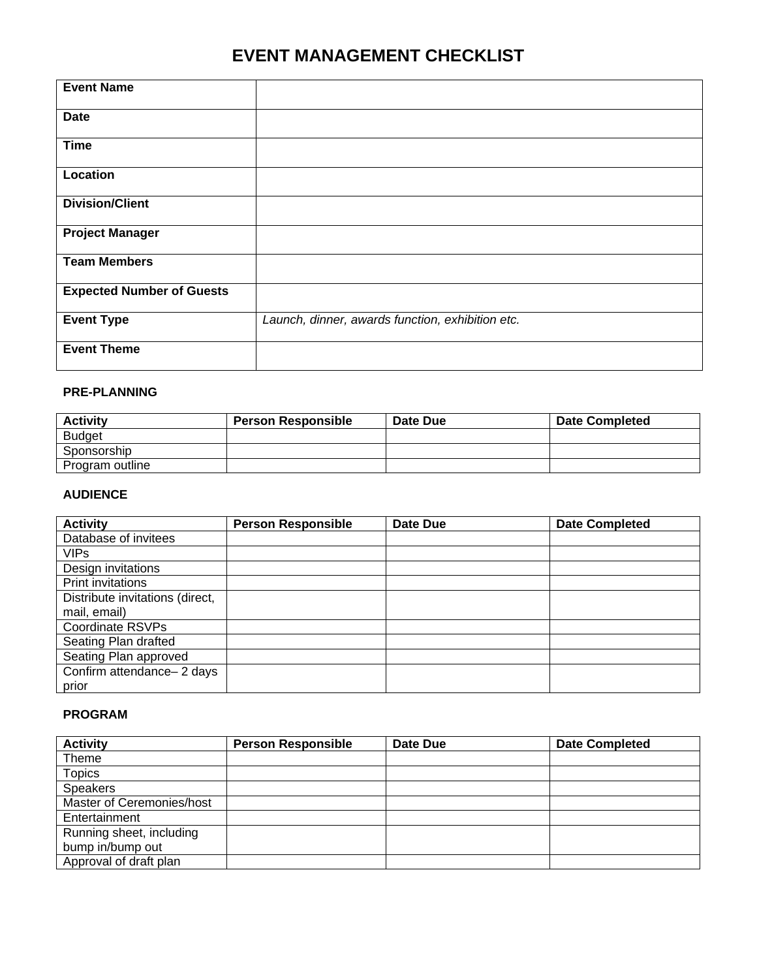# **EVENT MANAGEMENT CHECKLIST**

| <b>Event Name</b>                |                                                  |
|----------------------------------|--------------------------------------------------|
|                                  |                                                  |
| <b>Date</b>                      |                                                  |
|                                  |                                                  |
| <b>Time</b>                      |                                                  |
| Location                         |                                                  |
|                                  |                                                  |
| <b>Division/Client</b>           |                                                  |
|                                  |                                                  |
| <b>Project Manager</b>           |                                                  |
|                                  |                                                  |
| <b>Team Members</b>              |                                                  |
|                                  |                                                  |
| <b>Expected Number of Guests</b> |                                                  |
|                                  |                                                  |
| <b>Event Type</b>                | Launch, dinner, awards function, exhibition etc. |
|                                  |                                                  |
| <b>Event Theme</b>               |                                                  |
|                                  |                                                  |

#### **PRE-PLANNING**

| <b>Activity</b> | <b>Person Responsible</b> | Date Due | <b>Date Completed</b> |
|-----------------|---------------------------|----------|-----------------------|
| <b>Budget</b>   |                           |          |                       |
| Sponsorship     |                           |          |                       |
| Program outline |                           |          |                       |

#### **AUDIENCE**

| <b>Activity</b>                 | <b>Person Responsible</b> | Date Due | <b>Date Completed</b> |
|---------------------------------|---------------------------|----------|-----------------------|
| Database of invitees            |                           |          |                       |
| <b>VIPs</b>                     |                           |          |                       |
| Design invitations              |                           |          |                       |
| Print invitations               |                           |          |                       |
| Distribute invitations (direct, |                           |          |                       |
| mail, email)                    |                           |          |                       |
| <b>Coordinate RSVPs</b>         |                           |          |                       |
| Seating Plan drafted            |                           |          |                       |
| Seating Plan approved           |                           |          |                       |
| Confirm attendance-2 days       |                           |          |                       |
| prior                           |                           |          |                       |

### **PROGRAM**

| <b>Activity</b>           | <b>Person Responsible</b> | Date Due | <b>Date Completed</b> |
|---------------------------|---------------------------|----------|-----------------------|
| Theme                     |                           |          |                       |
| <b>Topics</b>             |                           |          |                       |
| <b>Speakers</b>           |                           |          |                       |
| Master of Ceremonies/host |                           |          |                       |
| Entertainment             |                           |          |                       |
| Running sheet, including  |                           |          |                       |
| bump in/bump out          |                           |          |                       |
| Approval of draft plan    |                           |          |                       |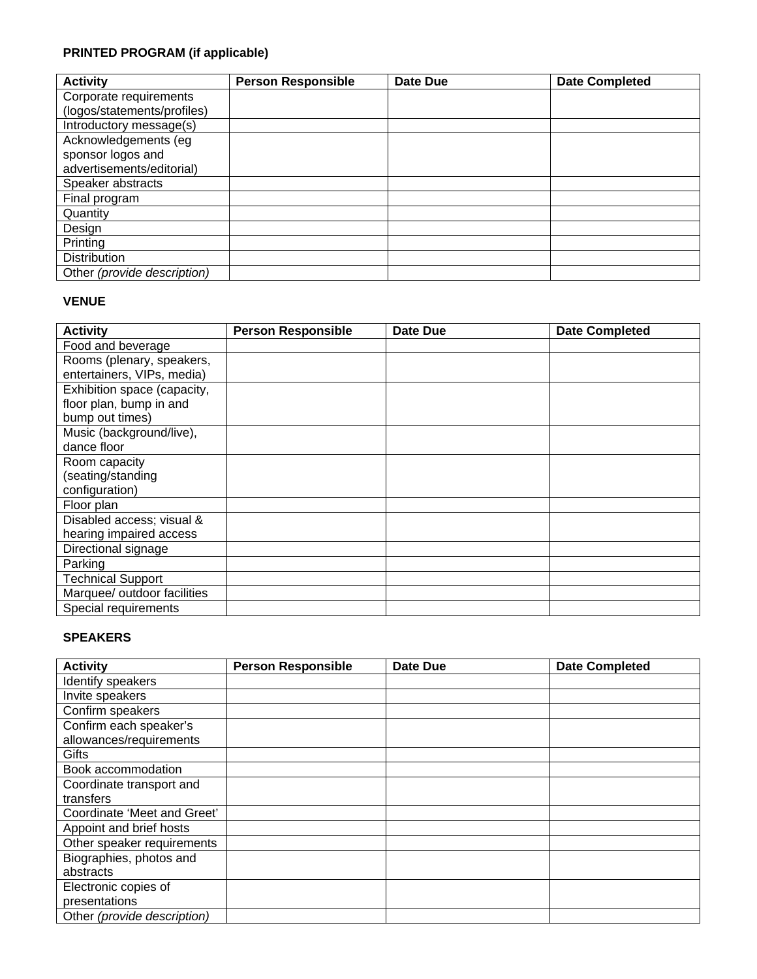## **PRINTED PROGRAM (if applicable)**

| <b>Activity</b>             | <b>Person Responsible</b> | Date Due | <b>Date Completed</b> |
|-----------------------------|---------------------------|----------|-----------------------|
| Corporate requirements      |                           |          |                       |
| (logos/statements/profiles) |                           |          |                       |
| Introductory message(s)     |                           |          |                       |
| Acknowledgements (eg        |                           |          |                       |
| sponsor logos and           |                           |          |                       |
| advertisements/editorial)   |                           |          |                       |
| Speaker abstracts           |                           |          |                       |
| Final program               |                           |          |                       |
| Quantity                    |                           |          |                       |
| Design                      |                           |          |                       |
| Printing                    |                           |          |                       |
| Distribution                |                           |          |                       |
| Other (provide description) |                           |          |                       |

#### **VENUE**

| <b>Activity</b>             | <b>Person Responsible</b> | Date Due | <b>Date Completed</b> |
|-----------------------------|---------------------------|----------|-----------------------|
| Food and beverage           |                           |          |                       |
| Rooms (plenary, speakers,   |                           |          |                       |
| entertainers, VIPs, media)  |                           |          |                       |
| Exhibition space (capacity, |                           |          |                       |
| floor plan, bump in and     |                           |          |                       |
| bump out times)             |                           |          |                       |
| Music (background/live),    |                           |          |                       |
| dance floor                 |                           |          |                       |
| Room capacity               |                           |          |                       |
| (seating/standing           |                           |          |                       |
| configuration)              |                           |          |                       |
| Floor plan                  |                           |          |                       |
| Disabled access; visual &   |                           |          |                       |
| hearing impaired access     |                           |          |                       |
| Directional signage         |                           |          |                       |
| Parking                     |                           |          |                       |
| <b>Technical Support</b>    |                           |          |                       |
| Marquee/ outdoor facilities |                           |          |                       |
| Special requirements        |                           |          |                       |

#### **SPEAKERS**

| <b>Activity</b>             | <b>Person Responsible</b> | <b>Date Due</b> | <b>Date Completed</b> |
|-----------------------------|---------------------------|-----------------|-----------------------|
| Identify speakers           |                           |                 |                       |
| Invite speakers             |                           |                 |                       |
| Confirm speakers            |                           |                 |                       |
| Confirm each speaker's      |                           |                 |                       |
| allowances/requirements     |                           |                 |                       |
| Gifts                       |                           |                 |                       |
| Book accommodation          |                           |                 |                       |
| Coordinate transport and    |                           |                 |                       |
| transfers                   |                           |                 |                       |
| Coordinate 'Meet and Greet' |                           |                 |                       |
| Appoint and brief hosts     |                           |                 |                       |
| Other speaker requirements  |                           |                 |                       |
| Biographies, photos and     |                           |                 |                       |
| abstracts                   |                           |                 |                       |
| Electronic copies of        |                           |                 |                       |
| presentations               |                           |                 |                       |
| Other (provide description) |                           |                 |                       |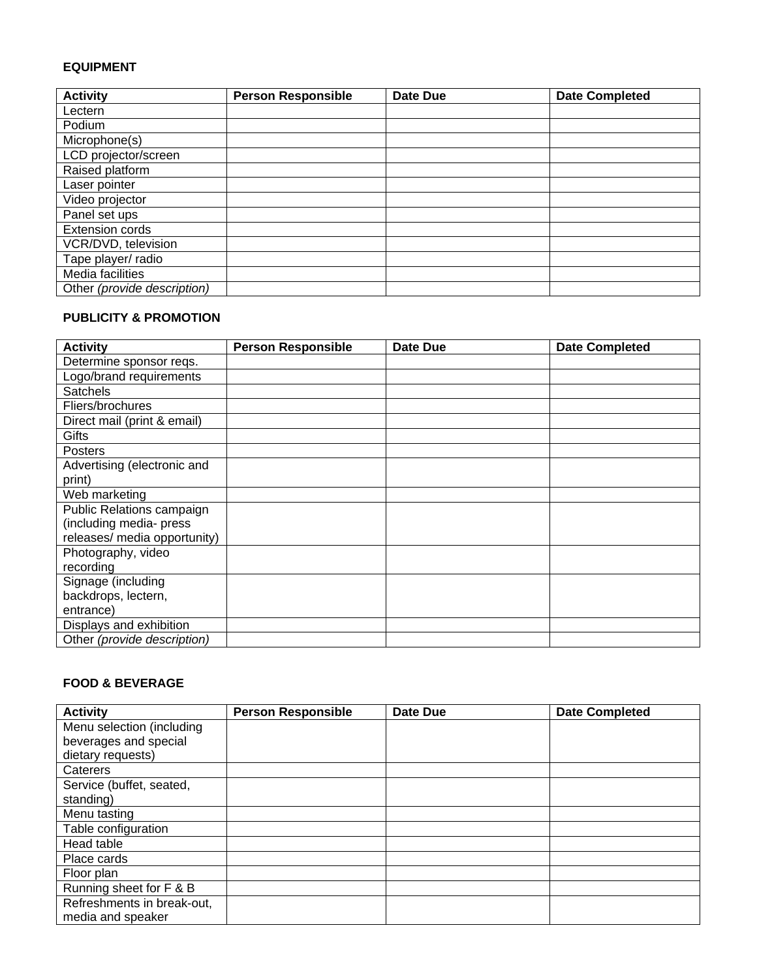#### **EQUIPMENT**

| <b>Activity</b>             | <b>Person Responsible</b> | <b>Date Due</b> | <b>Date Completed</b> |
|-----------------------------|---------------------------|-----------------|-----------------------|
| Lectern                     |                           |                 |                       |
| Podium                      |                           |                 |                       |
| Microphone(s)               |                           |                 |                       |
| LCD projector/screen        |                           |                 |                       |
| Raised platform             |                           |                 |                       |
| Laser pointer               |                           |                 |                       |
| Video projector             |                           |                 |                       |
| Panel set ups               |                           |                 |                       |
| <b>Extension cords</b>      |                           |                 |                       |
| VCR/DVD, television         |                           |                 |                       |
| Tape player/ radio          |                           |                 |                       |
| Media facilities            |                           |                 |                       |
| Other (provide description) |                           |                 |                       |

#### **PUBLICITY & PROMOTION**

| <b>Activity</b>              | <b>Person Responsible</b> | Date Due | <b>Date Completed</b> |
|------------------------------|---------------------------|----------|-----------------------|
| Determine sponsor reqs.      |                           |          |                       |
| Logo/brand requirements      |                           |          |                       |
| <b>Satchels</b>              |                           |          |                       |
| Fliers/brochures             |                           |          |                       |
| Direct mail (print & email)  |                           |          |                       |
| Gifts                        |                           |          |                       |
| <b>Posters</b>               |                           |          |                       |
| Advertising (electronic and  |                           |          |                       |
| print)                       |                           |          |                       |
| Web marketing                |                           |          |                       |
| Public Relations campaign    |                           |          |                       |
| (including media- press      |                           |          |                       |
| releases/ media opportunity) |                           |          |                       |
| Photography, video           |                           |          |                       |
| recording                    |                           |          |                       |
| Signage (including           |                           |          |                       |
| backdrops, lectern,          |                           |          |                       |
| entrance)                    |                           |          |                       |
| Displays and exhibition      |                           |          |                       |
| Other (provide description)  |                           |          |                       |

## **FOOD & BEVERAGE**

| <b>Activity</b>            | <b>Person Responsible</b> | Date Due | <b>Date Completed</b> |
|----------------------------|---------------------------|----------|-----------------------|
| Menu selection (including  |                           |          |                       |
| beverages and special      |                           |          |                       |
| dietary requests)          |                           |          |                       |
| Caterers                   |                           |          |                       |
| Service (buffet, seated,   |                           |          |                       |
| standing)                  |                           |          |                       |
| Menu tasting               |                           |          |                       |
| Table configuration        |                           |          |                       |
| Head table                 |                           |          |                       |
| Place cards                |                           |          |                       |
| Floor plan                 |                           |          |                       |
| Running sheet for F & B    |                           |          |                       |
| Refreshments in break-out, |                           |          |                       |
| media and speaker          |                           |          |                       |